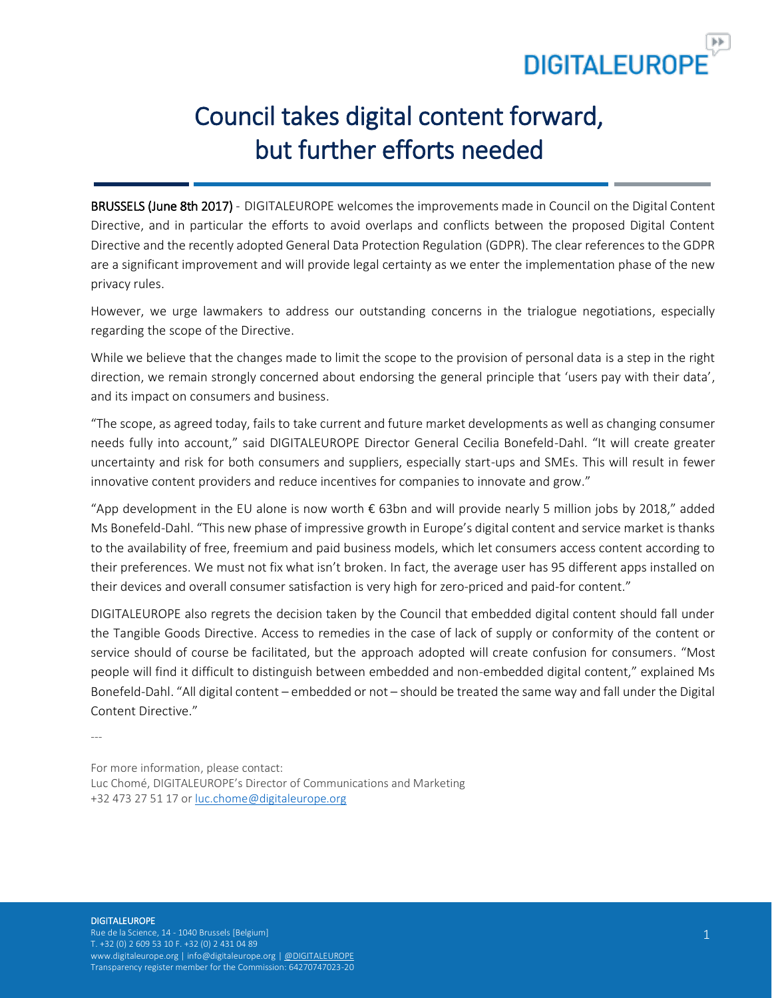

# Council takes digital content forward, but further efforts needed

BRUSSELS (June 8th 2017) - DIGITALEUROPE welcomes the improvements made in Council on the Digital Content Directive, and in particular the efforts to avoid overlaps and conflicts between the proposed Digital Content Directive and the recently adopted General Data Protection Regulation (GDPR). The clear references to the GDPR are a significant improvement and will provide legal certainty as we enter the implementation phase of the new privacy rules.

However, we urge lawmakers to address our outstanding concerns in the trialogue negotiations, especially regarding the scope of the Directive.

While we believe that the changes made to limit the scope to the provision of personal data is a step in the right direction, we remain strongly concerned about endorsing the general principle that 'users pay with their data', and its impact on consumers and business.

"The scope, as agreed today, fails to take current and future market developments as well as changing consumer needs fully into account," said DIGITALEUROPE Director General Cecilia Bonefeld-Dahl. "It will create greater uncertainty and risk for both consumers and suppliers, especially start-ups and SMEs. This will result in fewer innovative content providers and reduce incentives for companies to innovate and grow."

"App development in the EU alone is now worth € 63bn and will provide nearly 5 million jobs by 2018," added Ms Bonefeld-Dahl. "This new phase of impressive growth in Europe's digital content and service market is thanks to the availability of free, freemium and paid business models, which let consumers access content according to their preferences. We must not fix what isn't broken. In fact, the average user has 95 different apps installed on their devices and overall consumer satisfaction is very high for zero-priced and paid-for content."

DIGITALEUROPE also regrets the decision taken by the Council that embedded digital content should fall under the Tangible Goods Directive. Access to remedies in the case of lack of supply or conformity of the content or service should of course be facilitated, but the approach adopted will create confusion for consumers. "Most people will find it difficult to distinguish between embedded and non-embedded digital content," explained Ms Bonefeld-Dahl. "All digital content – embedded or not – should be treated the same way and fall under the Digital Content Directive."

---

For more information, please contact: Luc Chomé, DIGITALEUROPE's Director of Communications and Marketing +32 473 27 51 17 or [luc.chome@digitaleurope.org](mailto:luc.chome@digitaleurope.org)

#### **DIGITALEUROPE**